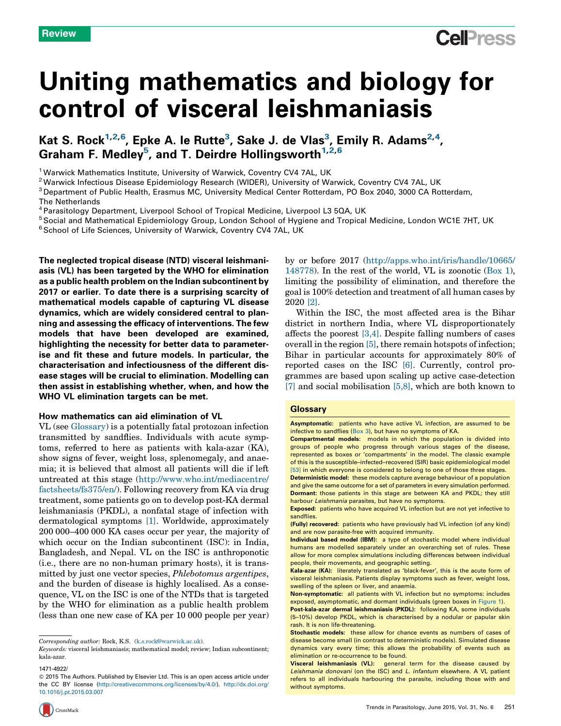# Uniting mathematics and biology for control of visceral leishmaniasis

## Kat S. Rock<sup>1,2,6</sup>, Epke A. le Rutte<sup>3</sup>, Sake J. de Vlas<sup>3</sup>, Emily R. Adams<sup>2,4</sup>, Graham F. Medley5, and T. Deirdre Hollingsworth<sup>1,2,6</sup>

<sup>1</sup> Warwick Mathematics Institute, University of Warwick, Coventry CV4 7AL, UK<br><sup>2</sup> Warwick Infectious Disease Epidemiology Research (WIDER), University of Warwick, Coventry CV4 7AL, UK<br><sup>3</sup> Department of Public Health, Eras

The Netherlands<br><sup>4</sup> Parasitology Department, Liverpool School of Tropical Medicine, Liverpool L3 5QA, UK<br><sup>5</sup> Social and Mathematical Epidemiology Group, London School of Hygiene and Tropical Medicine, London WC1E 7HT, UK<br><sup></sup>

The neglected tropical disease (NTD) visceral leishmaniasis (VL) has been targeted by the WHO for elimination as a public health problem on the Indian subcontinent by 2017 or earlier. To date there is a surprising scarcity of mathematical models capable of capturing VL disease dynamics, which are widely considered central to planning and assessing the efficacy of interventions. The few models that have been developed are examined, highlighting the necessity for better data to parameterise and fit these and future models. In particular, the characterisation and infectiousness of the different disease stages will be crucial to elimination. Modelling can then assist in establishing whether, when, and how the WHO VL elimination targets can be met.

#### How mathematics can aid elimination of VL

VL (see Glossary) is a potentially fatal protozoan infection transmitted by sandflies. Individuals with acute symptoms, referred to here as patients with kala-azar (KA), show signs of fever, weight loss, splenomegaly, and anaemia; it is believed that almost all patients will die if left untreated at this stage [\(http://www.who.int/mediacentre/](http://www.who.int/mediacentre/factsheets/fs375/en/) [factsheets/fs375/en/](http://www.who.int/mediacentre/factsheets/fs375/en/)). Following recovery from KA via drug treatment, some patients go on to develop post-KA dermal leishmaniasis (PKDL), a nonfatal stage of infection with dermatological symptoms [\[1\].](#page-7-0) Worldwide, approximately 200 000–400 000 KA cases occur per year, the majority of which occur on the Indian subcontinent (ISC): in India, Bangladesh, and Nepal. VL on the ISC is anthroponotic (i.e., there are no non-human primary hosts), it is transmitted by just one vector species, Phlebotomus argentipes, and the burden of disease is highly localised. As a consequence, VL on the ISC is one of the NTDs that is targeted by the WHO for elimination as a public health problem (less than one new case of KA per 10 000 people per year)

by or before 2017 ([http://apps.who.int/iris/handle/10665/](http://apps.who.int/iris/handle/10665/148778) [148778\)](http://apps.who.int/iris/handle/10665/148778). In the rest of the world, VL is zoonotic ([Box](#page-1-0) 1), limiting the possibility of elimination, and therefore the goal is 100% detection and treatment of all human cases by 2020 [\[2\].](#page-7-0)

**Cell**<sub>ress</sub>

Within the ISC, the most affected area is the Bihar district in northern India, where VL disproportionately affects the poorest [\[3,4\]](#page-7-0). Despite falling numbers of cases overall in the region [\[5\],](#page-7-0) there remain hotspots of infection; Bihar in particular accounts for approximately 80% of reported cases on the ISC [\[6\].](#page-7-0) Currently, control programmes are based upon scaling up active case-detection [\[7\]](#page-7-0) and social mobilisation [\[5,8\]](#page-7-0), which are both known to

#### **Glossary**

Asymptomatic: patients who have active VL infection, are assumed to be infective to sandflies [\(Box](#page-5-0) 3), but have no symptoms of KA.

Compartmental models: models in which the population is divided into groups of people who progress through various stages of the disease, represented as boxes or 'compartments' in the model. The classic example of this is the susceptible–infected–recovered (SIR) basic epidemiological model [\[53\]](#page-8-0) in which everyone is considered to belong to one of those three stages.

Deterministic model: these models capture average behaviour of a population and give the same outcome for a set of parameters in every simulation performed. Dormant: those patients in this stage are between KA and PKDL; they still harbour Leishmania parasites, but have no symptoms.

Exposed: patients who have acquired VL infection but are not yet infective to sandflies.

(Fully) recovered: patients who have previously had VL infection (of any kind) and are now parasite-free with acquired immunity.

Individual based model (IBM): a type of stochastic model where individual humans are modelled separately under an overarching set of rules. These allow for more complex simulations including differences between individual people, their movements, and geographic setting.

Kala-azar (KA): literately translated as 'black-fever', this is the acute form of visceral leishmaniasis. Patients display symptoms such as fever, weight loss, swelling of the spleen or liver, and anaemia.

Non-symptomatic: all patients with VL infection but no symptoms: includes exposed, asymptomatic, and dormant individuals (green boxes in [Figure](#page-3-0) 1).

Post-kala-azar dermal leishmaniasis (PKDL): following KA, some individuals (5–10%) develop PKDL, which is characterised by a nodular or papular skin rash. It is non life-threatening.



Corresponding author: Rock, K.S. [\(k.s.rock@warwick.ac.uk](mailto:k.s.rock@warwick.ac.uk)).

Keywords: visceral leishmaniasis; mathematical model; review; Indian subcontinent; kala-azar.

<sup>1471-4922/</sup>

<sup>© 2015</sup> The Authors. Published by Elsevier Ltd. This is an open access article under the CC BY license [\(http://creativecommons.org/licenses/by/4.0/](http://creativecommons.org/licenses/by/4.0/)). [http://dx.doi.org/](http://dx.doi.org/10.1016/j.pt.2015.03.007) [10.1016/j.pt.2015.03.007](http://dx.doi.org/10.1016/j.pt.2015.03.007)

Stochastic models: these allow for chance events as numbers of cases of disease become small (in contrast to deterministic models). Simulated disease dynamics vary every time; this allows the probability of events such as elimination or re-occurrence to be found.

Visceral leishmaniasis (VL): general term for the disease caused by Leishmania donovani (on the ISC) and L. infantum elsewhere. A VL patient refers to all individuals harbouring the parasite, including those with and without symptoms.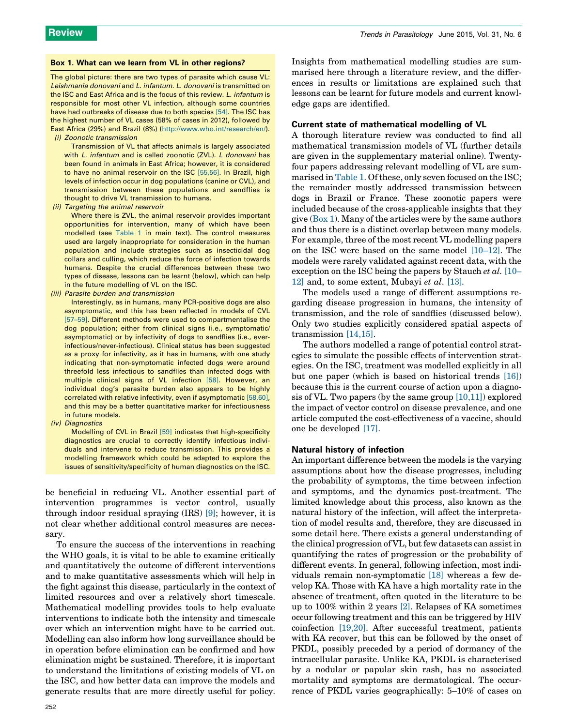#### <span id="page-1-0"></span>Box 1. What can we learn from VL in other regions?

The global picture: there are two types of parasite which cause VL: Leishmania donovani and L. infantum. L. donovani is transmitted on the ISC and East Africa and is the focus of this review. L. infantum is responsible for most other VL infection, although some countries have had outbreaks of disease due to both species [\[54\].](#page-8-0) The ISC has the highest number of VL cases (58% of cases in 2012), followed by East Africa (29%) and Brazil (8%) (<http://www.who.int/research/en/>). (i) Zoonotic transmission

Transmission of VL that affects animals is largely associated with L. infantum and is called zoonotic (ZVL). L donovani has been found in animals in East Africa; however, it is considered to have no animal reservoir on the ISC [\[55,56\].](#page-8-0) In Brazil, high levels of infection occur in dog populations (canine or CVL), and transmission between these populations and sandflies is thought to drive VL transmission to humans.

(ii) Targeting the animal reservoir

Where there is ZVL, the animal reservoir provides important opportunities for intervention, many of which have been modelled (see [Table](#page-2-0) 1 in main text). The control measures used are largely inappropriate for consideration in the human population and include strategies such as insecticidal dog collars and culling, which reduce the force of infection towards humans. Despite the crucial differences between these two types of disease, lessons can be learnt (below), which can help in the future modelling of VL on the ISC.

(iii) Parasite burden and transmission

Interestingly, as in humans, many PCR-positive dogs are also asymptomatic, and this has been reflected in models of CVL [\[57–59\].](#page-8-0) Different methods were used to compartmentalise the dog population; either from clinical signs (i.e., symptomatic/ asymptomatic) or by infectivity of dogs to sandflies (i.e., everinfectious/never-infectious). Clinical status has been suggested as a proxy for infectivity, as it has in humans, with one study indicating that non-symptomatic infected dogs were around threefold less infectious to sandflies than infected dogs with multiple clinical signs of VL infection [\[58\]](#page-8-0). However, an individual dog's parasite burden also appears to be highly correlated with relative infectivity, even if asymptomatic [\[58,60\],](#page-8-0) and this may be a better quantitative marker for infectiousness in future models.

(iv) Diagnostics

Modelling of CVL in Brazil [\[59\]](#page-8-0) indicates that high-specificity diagnostics are crucial to correctly identify infectious individuals and intervene to reduce transmission. This provides a modelling framework which could be adapted to explore the issues of sensitivity/specificity of human diagnostics on the ISC.

be beneficial in reducing VL. Another essential part of intervention programmes is vector control, usually through indoor residual spraying (IRS) [\[9\];](#page-7-0) however, it is not clear whether additional control measures are necessary.

To ensure the success of the interventions in reaching the WHO goals, it is vital to be able to examine critically and quantitatively the outcome of different interventions and to make quantitative assessments which will help in the fight against this disease, particularly in the context of limited resources and over a relatively short timescale. Mathematical modelling provides tools to help evaluate interventions to indicate both the intensity and timescale over which an intervention might have to be carried out. Modelling can also inform how long surveillance should be in operation before elimination can be confirmed and how elimination might be sustained. Therefore, it is important to understand the limitations of existing models of VL on the ISC, and how better data can improve the models and generate results that are more directly useful for policy. Insights from mathematical modelling studies are summarised here through a literature review, and the differences in results or limitations are explained such that lessons can be learnt for future models and current knowledge gaps are identified.

#### Current state of mathematical modelling of VL

A thorough literature review was conducted to find all mathematical transmission models of VL (further details are given in the supplementary material online). Twentyfour papers addressing relevant modelling of VL are summarised in [Table](#page-2-0) 1. Of these, only seven focused on the ISC; the remainder mostly addressed transmission between dogs in Brazil or France. These zoonotic papers were included because of the cross-applicable insights that they give  $(Box 1)$ . Many of the articles were by the same authors and thus there is a distinct overlap between many models. For example, three of the most recent VL modelling papers on the ISC were based on the same model [\[10–12\]](#page-7-0). The models were rarely validated against recent data, with the exception on the ISC being the papers by Stauch et al. [\[10–](#page-7-0) [12\]](#page-7-0) and, to some extent, Mubayi et al. [\[13\]](#page-7-0).

The models used a range of different assumptions regarding disease progression in humans, the intensity of transmission, and the role of sandflies (discussed below). Only two studies explicitly considered spatial aspects of transmission [\[14,15\].](#page-7-0)

The authors modelled a range of potential control strategies to simulate the possible effects of intervention strategies. On the ISC, treatment was modelled explicitly in all but one paper (which is based on historical trends [\[16\]\)](#page-7-0) because this is the current course of action upon a diagnosis of VL. Two papers (by the same group  $[10,11]$ ) explored the impact of vector control on disease prevalence, and one article computed the cost-effectiveness of a vaccine, should one be developed [\[17\].](#page-7-0)

#### Natural history of infection

An important difference between the models is the varying assumptions about how the disease progresses, including the probability of symptoms, the time between infection and symptoms, and the dynamics post-treatment. The limited knowledge about this process, also known as the natural history of the infection, will affect the interpretation of model results and, therefore, they are discussed in some detail here. There exists a general understanding of the clinical progression of VL, but few datasets can assist in quantifying the rates of progression or the probability of different events. In general, following infection, most individuals remain non-symptomatic [\[18\]](#page-7-0) whereas a few develop KA. Those with KA have a high mortality rate in the absence of treatment, often quoted in the literature to be up to 100% within 2 years [\[2\]](#page-7-0). Relapses of KA sometimes occur following treatment and this can be triggered by HIV coinfection [\[19,20\].](#page-7-0) After successful treatment, patients with KA recover, but this can be followed by the onset of PKDL, possibly preceded by a period of dormancy of the intracellular parasite. Unlike KA, PKDL is characterised by a nodular or papular skin rash, has no associated mortality and symptoms are dermatological. The occurrence of PKDL varies geographically: 5–10% of cases on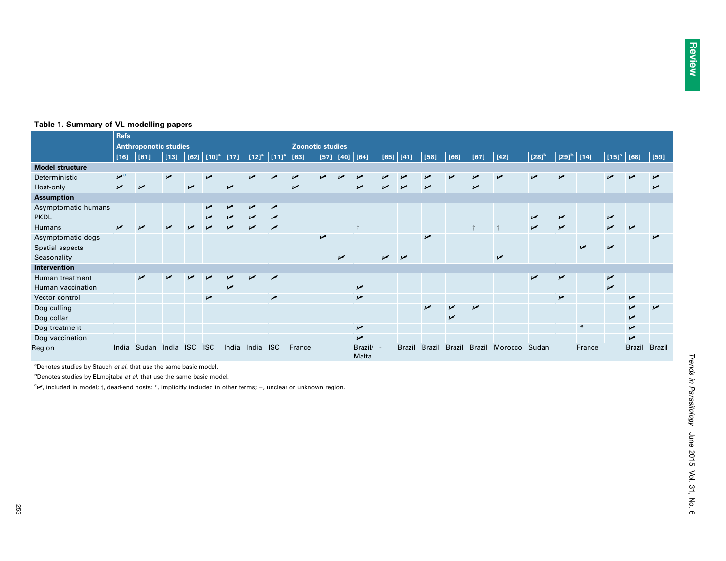|                        | <b>Refs</b>                  |       |            |                |                          |                |                     |                     |                         |                |             |                    |            |                |                |                |                |         |                     |                          |            |                          |                |               |
|------------------------|------------------------------|-------|------------|----------------|--------------------------|----------------|---------------------|---------------------|-------------------------|----------------|-------------|--------------------|------------|----------------|----------------|----------------|----------------|---------|---------------------|--------------------------|------------|--------------------------|----------------|---------------|
|                        | <b>Anthroponotic studies</b> |       |            |                |                          |                |                     |                     | <b>Zoonotic studies</b> |                |             |                    |            |                |                |                |                |         |                     |                          |            |                          |                |               |
|                        | $[16]$                       | [61]  | $[13]$     | [62]           | $[10]$ <sup>a</sup> [17] |                | $[12]$ <sup>a</sup> | $[11]$ <sup>a</sup> | [63]                    |                | $[57]$ [40] | [64]               | [65]       | $[41]$         | $[58]$         | [66]           | $[67]$         | $[42]$  | $[28]$ <sup>b</sup> | $[29]^{\rm b}$           | [14]       | $[15]$ <sup>b</sup>      | [68]           | $[59]$        |
| <b>Model structure</b> |                              |       |            |                |                          |                |                     |                     |                         |                |             |                    |            |                |                |                |                |         |                     |                          |            |                          |                |               |
| Deterministic          | $\mathbf{v}^{\circ}$         |       | $\sqrt{ }$ |                | $\overline{v}$           |                | مما                 |                     | مما                     | مما            |             | مما                | مما        |                | مما            | مما            | مما            | مما     | $\overline{v}$      | $\sqrt{ }$               |            | مما                      | مما            | مما           |
| Host-only              | $\sqrt{ }$                   | مما   |            | $\overline{v}$ |                          | مم             |                     |                     | $\overline{v}$          |                |             | $\sqrt{ }$         | مما        | مما            | $\overline{v}$ |                | $\overline{v}$ |         |                     |                          |            |                          |                | مما           |
| <b>Assumption</b>      |                              |       |            |                |                          |                |                     |                     |                         |                |             |                    |            |                |                |                |                |         |                     |                          |            |                          |                |               |
| Asymptomatic humans    |                              |       |            |                | $\overline{v}$           | مما            | مما                 | $\overline{v}$      |                         |                |             |                    |            |                |                |                |                |         |                     |                          |            |                          |                |               |
| <b>PKDL</b>            |                              |       |            |                | ↙                        | مما            | ممتل                | $\overline{v}$      |                         |                |             |                    |            |                |                |                |                |         | ↙                   | $\overline{v}$           |            | $\overline{v}$           |                |               |
| Humans                 | $\sqrt{ }$                   | مما   | ممر        | مما            | مم                       | مما            | مم                  | مما                 |                         |                |             |                    |            |                |                |                |                |         | مما                 | $\sqrt{ }$               |            | مما                      | مما            |               |
| Asymptomatic dogs      |                              |       |            |                |                          |                |                     |                     |                         | $\overline{v}$ |             |                    |            |                | مما            |                |                |         |                     |                          |            |                          |                | $\sqrt{ }$    |
| Spatial aspects        |                              |       |            |                |                          |                |                     |                     |                         |                |             |                    |            |                |                |                |                |         |                     |                          | $\sqrt{ }$ | مم                       |                |               |
| Seasonality            |                              |       |            |                |                          |                |                     |                     |                         |                | $\sqrt{ }$  |                    | $\sqrt{ }$ | $\overline{v}$ |                |                |                | مما     |                     |                          |            |                          |                |               |
| Intervention           |                              |       |            |                |                          |                |                     |                     |                         |                |             |                    |            |                |                |                |                |         |                     |                          |            |                          |                |               |
| Human treatment        |                              | مما   |            |                |                          |                | مم                  | $\overline{v}$      |                         |                |             |                    |            |                |                |                |                |         | ✔                   | $\overline{v}$           |            | $\overline{v}$           |                |               |
| Human vaccination      |                              |       |            |                |                          | $\overline{v}$ |                     |                     |                         |                |             | $\overline{v}$     |            |                |                |                |                |         |                     |                          |            | $\overline{v}$           |                |               |
| Vector control         |                              |       |            |                | $\sqrt{ }$               |                |                     | $\overline{v}$      |                         |                |             | $\overline{v}$     |            |                |                |                |                |         |                     | $\sqrt{ }$               |            |                          | مما            |               |
| Dog culling            |                              |       |            |                |                          |                |                     |                     |                         |                |             |                    |            |                | ➤              | مما            | $\overline{v}$ |         |                     |                          |            |                          | ✔              | مما           |
| Dog collar             |                              |       |            |                |                          |                |                     |                     |                         |                |             |                    |            |                |                | $\overline{v}$ |                |         |                     |                          |            |                          | $\overline{v}$ |               |
| Dog treatment          |                              |       |            |                |                          |                |                     |                     |                         |                |             | $\overline{v}$     |            |                |                |                |                |         |                     |                          | $*$        |                          | $\sqrt{ }$     |               |
| Dog vaccination        |                              |       |            |                |                          |                |                     |                     |                         |                |             | $\overline{v}$     |            |                |                |                |                |         |                     |                          |            |                          | $\overline{v}$ |               |
| Region                 | India                        | Sudan | India      | <b>ISC</b>     | <b>ISC</b>               | India          | India ISC           |                     | France                  |                |             | Brazil/ -<br>Malta |            | <b>Brazil</b>  | <b>Brazil</b>  | <b>Brazil</b>  | <b>Brazil</b>  | Morocco | Sudan               | $\overline{\phantom{0}}$ | France     | $\overline{\phantom{a}}$ | <b>Brazil</b>  | <b>Brazil</b> |

### <span id="page-2-0"></span>Table 1. Summary of VL modelling papers

 $a$ Denotes studies by Stauch et al. that use the same basic model.

 $b$ Denotes studies by ELmojtaba et al. that use the same basic model.

for included in model;  $\dagger$ , dead-end hosts; \*, implicitly included in other terms;  $-$ , unclear or unknown region.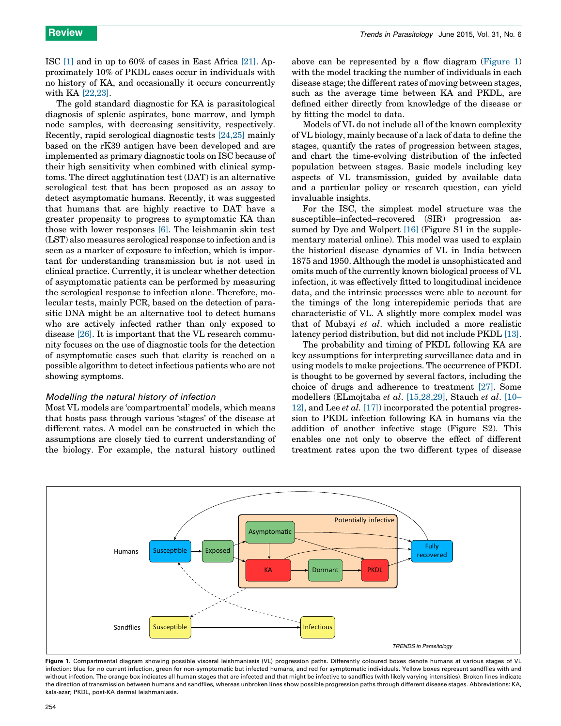<span id="page-3-0"></span>ISC [\[1\]](#page-7-0) and in up to 60% of cases in East Africa [\[21\].](#page-7-0) Approximately 10% of PKDL cases occur in individuals with no history of KA, and occasionally it occurs concurrently with KA [\[22,23\]](#page-7-0).

The gold standard diagnostic for KA is parasitological diagnosis of splenic aspirates, bone marrow, and lymph node samples, with decreasing sensitivity, respectively. Recently, rapid serological diagnostic tests [\[24,25\]](#page-7-0) mainly based on the rK39 antigen have been developed and are implemented as primary diagnostic tools on ISC because of their high sensitivity when combined with clinical symptoms. The direct agglutination test (DAT) is an alternative serological test that has been proposed as an assay to detect asymptomatic humans. Recently, it was suggested that humans that are highly reactive to DAT have a greater propensity to progress to symptomatic KA than those with lower responses [\[6\].](#page-7-0) The leishmanin skin test (LST) also measures serological response to infection and is seen as a marker of exposure to infection, which is important for understanding transmission but is not used in clinical practice. Currently, it is unclear whether detection of asymptomatic patients can be performed by measuring the serological response to infection alone. Therefore, molecular tests, mainly PCR, based on the detection of parasitic DNA might be an alternative tool to detect humans who are actively infected rather than only exposed to disease [\[26\].](#page-8-0) It is important that the VL research community focuses on the use of diagnostic tools for the detection of asymptomatic cases such that clarity is reached on a possible algorithm to detect infectious patients who are not showing symptoms.

#### Modelling the natural history of infection

Most VL models are 'compartmental' models, which means that hosts pass through various 'stages' of the disease at different rates. A model can be constructed in which the assumptions are closely tied to current understanding of the biology. For example, the natural history outlined above can be represented by a flow diagram (Figure 1) with the model tracking the number of individuals in each disease stage; the different rates of moving between stages, such as the average time between KA and PKDL, are defined either directly from knowledge of the disease or by fitting the model to data.

Models of VL do not include all of the known complexity of VL biology, mainly because of a lack of data to define the stages, quantify the rates of progression between stages, and chart the time-evolving distribution of the infected population between stages. Basic models including key aspects of VL transmission, guided by available data and a particular policy or research question, can yield invaluable insights.

For the ISC, the simplest model structure was the susceptible–infected–recovered (SIR) progression as-sumed by Dye and Wolpert [\[16\]](#page-7-0) (Figure S1 in the supplementary material online). This model was used to explain the historical disease dynamics of VL in India between 1875 and 1950. Although the model is unsophisticated and omits much of the currently known biological process of VL infection, it was effectively fitted to longitudinal incidence data, and the intrinsic processes were able to account for the timings of the long interepidemic periods that are characteristic of VL. A slightly more complex model was that of Mubayi et al. which included a more realistic latency period distribution, but did not include PKDL [\[13\]](#page-7-0).

The probability and timing of PKDL following KA are key assumptions for interpreting surveillance data and in using models to make projections. The occurrence of PKDL is thought to be governed by several factors, including the choice of drugs and adherence to treatment [\[27\].](#page-8-0) Some modellers (ELmojtaba et al. [\[15,28,29\]](#page-7-0), Stauch et al. [\[10–](#page-7-0) [12\]](#page-7-0), and Lee et al. [\[17\]\)](#page-7-0) incorporated the potential progression to PKDL infection following KA in humans via the addition of another infective stage (Figure S2). This enables one not only to observe the effect of different treatment rates upon the two different types of disease



Figure 1. Compartmental diagram showing possible visceral leishmaniasis (VL) progression paths. Differently coloured boxes denote humans at various stages of VL infection: blue for no current infection, green for non-symptomatic but infected humans, and red for symptomatic individuals. Yellow boxes represent sandflies with and without infection. The orange box indicates all human stages that are infected and that might be infective to sandflies (with likely varying intensities). Broken lines indicate the direction of transmission between humans and sandflies, whereas unbroken lines show possible progression paths through different disease stages. Abbreviations: KA, kala-azar; PKDL, post-KA dermal leishmaniasis.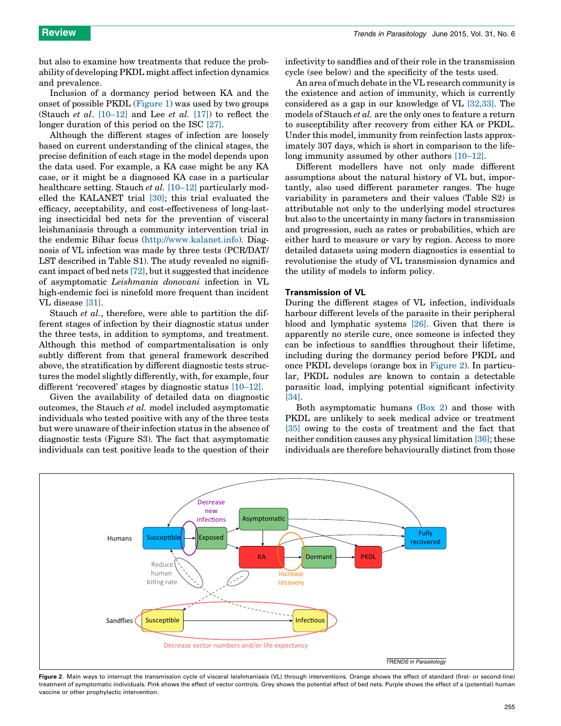<span id="page-4-0"></span>but also to examine how treatments that reduce the probability of developing PKDL might affect infection dynamics and prevalence.

Inclusion of a dormancy period between KA and the onset of possible PKDL ([Figure](#page-3-0) 1) was used by two groups (Stauch *et al.* [\[10–12\]](#page-7-0) and Lee *et al.* [\[17\]](#page-7-0)) to reflect the longer duration of this period on the ISC [\[27\]](#page-8-0).

Although the different stages of infection are loosely based on current understanding of the clinical stages, the precise definition of each stage in the model depends upon the data used. For example, a KA case might be any KA case, or it might be a diagnosed KA case in a particular healthcare setting. Stauch *et al.* [\[10–12\]](#page-7-0) particularly modelled the KALANET trial [\[30\];](#page-8-0) this trial evaluated the efficacy, acceptability, and cost-effectiveness of long-lasting insecticidal bed nets for the prevention of visceral leishmaniasis through a community intervention trial in the endemic Bihar focus ([http://www.kalanet.info\)](http://www.kalanet.info/). Diagnosis of VL infection was made by three tests (PCR/DAT/ LST described in Table S1). The study revealed no significant impact of bed nets [\[72\],](#page-8-0) but it suggested that incidence of asymptomatic Leishmania donovani infection in VL high-endemic foci is ninefold more frequent than incident VL disease [\[31\]](#page-8-0).

Stauch *et al.*, therefore, were able to partition the different stages of infection by their diagnostic status under the three tests, in addition to symptoms, and treatment. Although this method of compartmentalisation is only subtly different from that general framework described above, the stratification by different diagnostic tests structures the model slightly differently, with, for example, four different 'recovered' stages by diagnostic status [\[10–12\]](#page-7-0).

Given the availability of detailed data on diagnostic outcomes, the Stauch et al. model included asymptomatic individuals who tested positive with any of the three tests but were unaware of their infection status in the absence of diagnostic tests (Figure S3). The fact that asymptomatic individuals can test positive leads to the question of their

infectivity to sandflies and of their role in the transmission cycle (see below) and the specificity of the tests used.

An area of much debate in the VL research community is the existence and action of immunity, which is currently considered as a gap in our knowledge of VL [\[32,33\].](#page-8-0) The models of Stauch et al. are the only ones to feature a return to susceptibility after recovery from either KA or PKDL. Under this model, immunity from reinfection lasts approximately 307 days, which is short in comparison to the lifelong immunity assumed by other authors [\[10–12\].](#page-7-0)

Different modellers have not only made different assumptions about the natural history of VL but, importantly, also used different parameter ranges. The huge variability in parameters and their values (Table S2) is attributable not only to the underlying model structures but also to the uncertainty in many factors in transmission and progression, such as rates or probabilities, which are either hard to measure or vary by region. Access to more detailed datasets using modern diagnostics is essential to revolutionise the study of VL transmission dynamics and the utility of models to inform policy.

#### Transmission of VL

During the different stages of VL infection, individuals harbour different levels of the parasite in their peripheral blood and lymphatic systems [\[26\].](#page-8-0) Given that there is apparently no sterile cure, once someone is infected they can be infectious to sandflies throughout their lifetime, including during the dormancy period before PKDL and once PKDL develops (orange box in Figure 2). In particular, PKDL nodules are known to contain a detectable parasitic load, implying potential significant infectivity [\[34\]](#page-8-0).

Both asymptomatic humans ([Box](#page-5-0) 2) and those with PKDL are unlikely to seek medical advice or treatment [\[35\]](#page-8-0) owing to the costs of treatment and the fact that neither condition causes any physical limitation [\[36\];](#page-8-0) these individuals are therefore behaviourally distinct from those



Figure 2. Main ways to interrupt the transmission cycle of visceral leishmaniasis (VL) through interventions. Orange shows the effect of standard (first- or second-line) treatment of symptomatic individuals. Pink shows the effect of vector controls. Grey shows the potential effect of bed nets. Purple shows the effect of a (potential) human vaccine or other prophylactic intervention.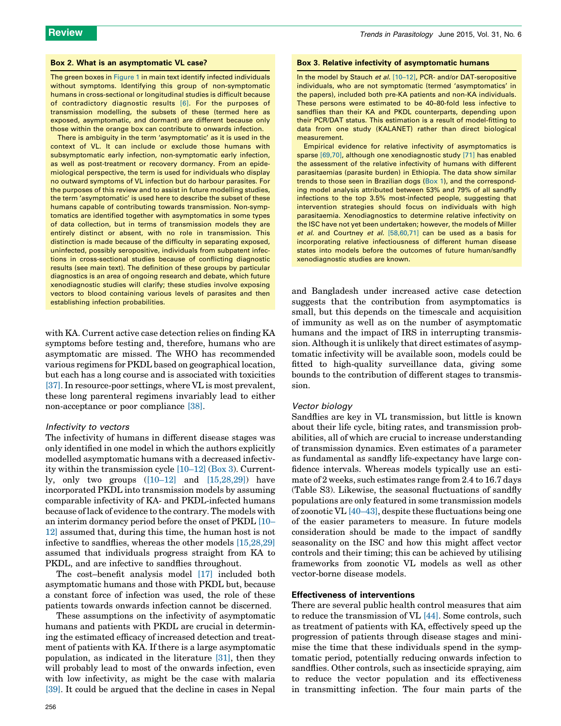#### <span id="page-5-0"></span>Box 2. What is an asymptomatic VL case?

The green boxes in [Figure](#page-3-0) 1 in main text identify infected individuals without symptoms. Identifying this group of non-symptomatic humans in cross-sectional or longitudinal studies is difficult because of contradictory diagnostic results [\[6\]](#page-7-0). For the purposes of transmission modelling, the subsets of these (termed here as exposed, asymptomatic, and dormant) are different because only those within the orange box can contribute to onwards infection.

There is ambiguity in the term 'asymptomatic' as it is used in the context of VL. It can include or exclude those humans with subsymptomatic early infection, non-symptomatic early infection, as well as post-treatment or recovery dormancy. From an epidemiological perspective, the term is used for individuals who display no outward symptoms of VL infection but do harbour parasites. For the purposes of this review and to assist in future modelling studies, the term 'asymptomatic' is used here to describe the subset of these humans capable of contributing towards transmission. Non-symptomatics are identified together with asymptomatics in some types of data collection, but in terms of transmission models they are entirely distinct or absent, with no role in transmission. This distinction is made because of the difficulty in separating exposed, uninfected, possibly seropositive, individuals from subpatent infections in cross-sectional studies because of conflicting diagnostic results (see main text). The definition of these groups by particular diagnostics is an area of ongoing research and debate, which future xenodiagnostic studies will clarify; these studies involve exposing vectors to blood containing various levels of parasites and then establishing infection probabilities.

with KA. Current active case detection relies on finding KA symptoms before testing and, therefore, humans who are asymptomatic are missed. The WHO has recommended various regimens for PKDL based on geographical location, but each has a long course and is associated with toxicities [\[37\]](#page-8-0). In resource-poor settings, where VL is most prevalent, these long parenteral regimens invariably lead to either non-acceptance or poor compliance [\[38\]](#page-8-0).

#### Infectivity to vectors

The infectivity of humans in different disease stages was only identified in one model in which the authors explicitly modelled asymptomatic humans with a decreased infectivity within the transmission cycle [\[10–12\]](#page-7-0) (Box 3). Currently, only two groups  $([10-12]$  and  $[15,28,29]$ ) have incorporated PKDL into transmission models by assuming comparable infectivity of KA- and PKDL-infected humans because of lack of evidence to the contrary. The models with an interim dormancy period before the onset of PKDL [\[10–](#page-7-0) [12\]](#page-7-0) assumed that, during this time, the human host is not infective to sandflies, whereas the other models [\[15,28,29\]](#page-7-0) assumed that individuals progress straight from KA to PKDL, and are infective to sandflies throughout.

The cost–benefit analysis model [\[17\]](#page-7-0) included both asymptomatic humans and those with PKDL but, because a constant force of infection was used, the role of these patients towards onwards infection cannot be discerned.

These assumptions on the infectivity of asymptomatic humans and patients with PKDL are crucial in determining the estimated efficacy of increased detection and treatment of patients with KA. If there is a large asymptomatic population, as indicated in the literature [\[31\],](#page-8-0) then they will probably lead to most of the onwards infection, even with low infectivity, as might be the case with malaria [\[39\]](#page-8-0). It could be argued that the decline in cases in Nepal

#### Box 3. Relative infectivity of asymptomatic humans

In the model by Stauch et al. [\[10–12\]](#page-7-0), PCR- and/or DAT-seropositive individuals, who are not symptomatic (termed 'asymptomatics' in the papers), included both pre-KA patients and non-KA individuals. These persons were estimated to be 40–80-fold less infective to sandflies than their KA and PKDL counterparts, depending upon their PCR/DAT status. This estimation is a result of model-fitting to data from one study (KALANET) rather than direct biological measurement.

Empirical evidence for relative infectivity of asymptomatics is sparse [\[69,70\]](#page-8-0), although one xenodiagnostic study [\[71\]](#page-8-0) has enabled the assessment of the relative infectivity of humans with different parasitaemias (parasite burden) in Ethiopia. The data show similar trends to those seen in Brazilian dogs [\(Box](#page-1-0) 1), and the corresponding model analysis attributed between 53% and 79% of all sandfly infections to the top 3.5% most-infected people, suggesting that intervention strategies should focus on individuals with high parasitaemia. Xenodiagnostics to determine relative infectivity on the ISC have not yet been undertaken; however, the models of Miller et al. and Courtney et al. [\[58,60,71\]](#page-8-0) can be used as a basis for incorporating relative infectiousness of different human disease states into models before the outcomes of future human/sandfly xenodiagnostic studies are known.

and Bangladesh under increased active case detection suggests that the contribution from asymptomatics is small, but this depends on the timescale and acquisition of immunity as well as on the number of asymptomatic humans and the impact of IRS in interrupting transmission. Although it is unlikely that direct estimates of asymptomatic infectivity will be available soon, models could be fitted to high-quality surveillance data, giving some bounds to the contribution of different stages to transmission.

#### Vector biology

Sandflies are key in VL transmission, but little is known about their life cycle, biting rates, and transmission probabilities, all of which are crucial to increase understanding of transmission dynamics. Even estimates of a parameter as fundamental as sandfly life-expectancy have large confidence intervals. Whereas models typically use an estimate of 2 weeks, such estimates range from 2.4 to 16.7 days (Table S3). Likewise, the seasonal fluctuations of sandfly populations are only featured in some transmission models of zoonotic VL [\[40–43\],](#page-8-0) despite these fluctuations being one of the easier parameters to measure. In future models consideration should be made to the impact of sandfly seasonality on the ISC and how this might affect vector controls and their timing; this can be achieved by utilising frameworks from zoonotic VL models as well as other vector-borne disease models.

#### Effectiveness of interventions

There are several public health control measures that aim to reduce the transmission of VL [\[44\].](#page-8-0) Some controls, such as treatment of patients with KA, effectively speed up the progression of patients through disease stages and minimise the time that these individuals spend in the symptomatic period, potentially reducing onwards infection to sandflies. Other controls, such as insecticide spraying, aim to reduce the vector population and its effectiveness in transmitting infection. The four main parts of the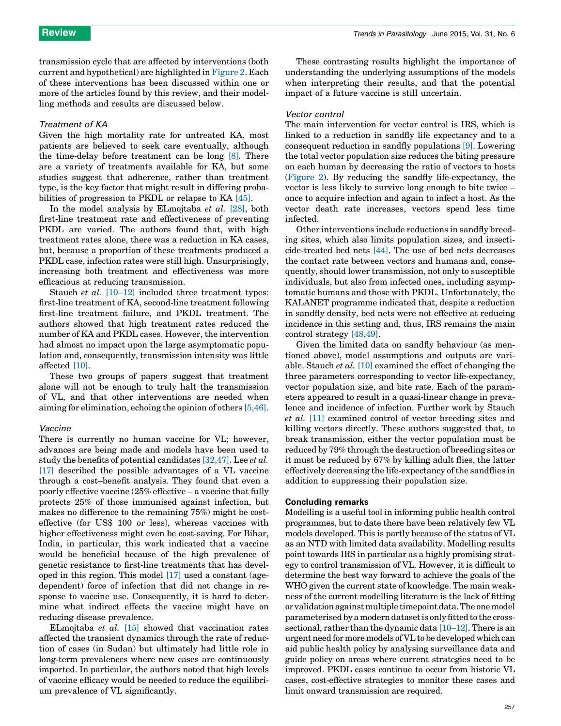transmission cycle that are affected by interventions (both current and hypothetical) are highlighted in [Figure](#page-4-0) 2. Each of these interventions has been discussed within one or more of the articles found by this review, and their modelling methods and results are discussed below.

#### Treatment of KA

Given the high mortality rate for untreated KA, most patients are believed to seek care eventually, although the time-delay before treatment can be long [\[8\].](#page-7-0) There are a variety of treatments available for KA, but some studies suggest that adherence, rather than treatment type, is the key factor that might result in differing probabilities of progression to PKDL or relapse to KA [\[45\].](#page-8-0)

In the model analysis by ELmojtaba et al. [\[28\]](#page-8-0), both first-line treatment rate and effectiveness of preventing PKDL are varied. The authors found that, with high treatment rates alone, there was a reduction in KA cases, but, because a proportion of these treatments produced a PKDL case, infection rates were still high. Unsurprisingly, increasing both treatment and effectiveness was more efficacious at reducing transmission.

Stauch *et al.* [\[10–12\]](#page-7-0) included three treatment types: first-line treatment of KA, second-line treatment following first-line treatment failure, and PKDL treatment. The authors showed that high treatment rates reduced the number of KA and PKDL cases. However, the intervention had almost no impact upon the large asymptomatic population and, consequently, transmission intensity was little affected [\[10\]](#page-7-0).

These two groups of papers suggest that treatment alone will not be enough to truly halt the transmission of VL, and that other interventions are needed when aiming for elimination, echoing the opinion of others [\[5,46\]](#page-7-0).

#### Vaccine

There is currently no human vaccine for VL; however, advances are being made and models have been used to study the benefits of potential candidates [\[32,47\].](#page-8-0) Lee et al. [\[17\]](#page-7-0) described the possible advantages of a VL vaccine through a cost–benefit analysis. They found that even a poorly effective vaccine (25% effective – a vaccine that fully protects 25% of those immunised against infection, but makes no difference to the remaining 75%) might be costeffective (for US\$ 100 or less), whereas vaccines with higher effectiveness might even be cost-saving. For Bihar, India, in particular, this work indicated that a vaccine would be beneficial because of the high prevalence of genetic resistance to first-line treatments that has developed in this region. This model [\[17\]](#page-7-0) used a constant (agedependent) force of infection that did not change in response to vaccine use. Consequently, it is hard to determine what indirect effects the vaccine might have on reducing disease prevalence.

ELmojtaba et al. [\[15\]](#page-7-0) showed that vaccination rates affected the transient dynamics through the rate of reduction of cases (in Sudan) but ultimately had little role in long-term prevalences where new cases are continuously imported. In particular, the authors noted that high levels of vaccine efficacy would be needed to reduce the equilibrium prevalence of VL significantly.

These contrasting results highlight the importance of understanding the underlying assumptions of the models when interpreting their results, and that the potential impact of a future vaccine is still uncertain.

#### Vector control

The main intervention for vector control is IRS, which is linked to a reduction in sandfly life expectancy and to a consequent reduction in sandfly populations [\[9\].](#page-7-0) Lowering the total vector population size reduces the biting pressure on each human by decreasing the ratio of vectors to hosts ([Figure](#page-4-0) 2). By reducing the sandfly life-expectancy, the vector is less likely to survive long enough to bite twice – once to acquire infection and again to infect a host. As the vector death rate increases, vectors spend less time infected.

Other interventions include reductions in sandfly breeding sites, which also limits population sizes, and insecticide-treated bed nets [\[44\]](#page-8-0). The use of bed nets decreases the contact rate between vectors and humans and, consequently, should lower transmission, not only to susceptible individuals, but also from infected ones, including asymptomatic humans and those with PKDL. Unfortunately, the KALANET programme indicated that, despite a reduction in sandfly density, bed nets were not effective at reducing incidence in this setting and, thus, IRS remains the main control strategy [\[48,49\]](#page-8-0).

Given the limited data on sandfly behaviour (as mentioned above), model assumptions and outputs are variable. Stauch et al. [\[10\]](#page-7-0) examined the effect of changing the three parameters corresponding to vector life-expectancy, vector population size, and bite rate. Each of the parameters appeared to result in a quasi-linear change in prevalence and incidence of infection. Further work by Stauch et al. [\[11\]](#page-7-0) examined control of vector breeding sites and killing vectors directly. These authors suggested that, to break transmission, either the vector population must be reduced by 79% through the destruction of breeding sites or it must be reduced by 67% by killing adult flies, the latter effectively decreasing the life-expectancy of the sandflies in addition to suppressing their population size.

#### Concluding remarks

Modelling is a useful tool in informing public health control programmes, but to date there have been relatively few VL models developed. This is partly because of the status of VL as an NTD with limited data availability. Modelling results point towards IRS in particular as a highly promising strategy to control transmission of VL. However, it is difficult to determine the best way forward to achieve the goals of the WHO given the current state of knowledge. The main weakness of the current modelling literature is the lack of fitting or validationagainstmultiple timepointdata.The onemodel parameterised by a moderndatasetis onlyfitted to the crosssectional, rather than the dynamic data [\[10–12\]](#page-7-0). There is an urgent need for more models of VLto be developed which can aid public health policy by analysing surveillance data and guide policy on areas where current strategies need to be improved. PKDL cases continue to occur from historic VL cases, cost-effective strategies to monitor these cases and limit onward transmission are required.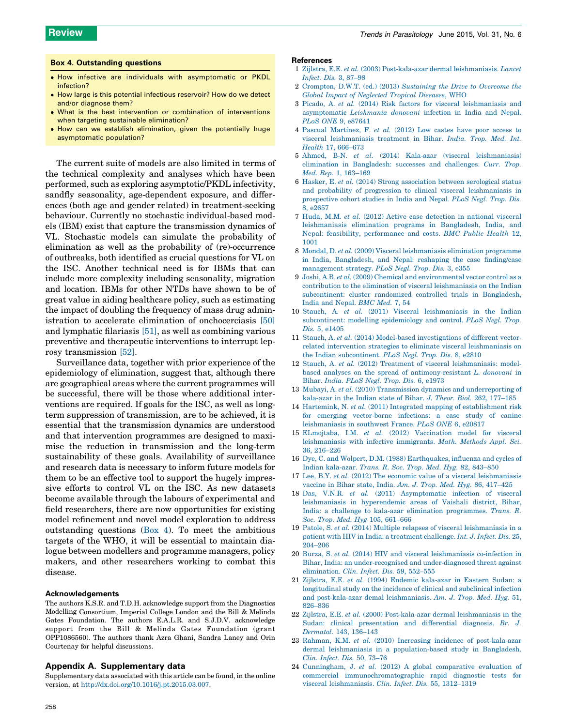#### <span id="page-7-0"></span>Box 4. Outstanding questions

- How infective are individuals with asymptomatic or PKDL infection?
- How large is this potential infectious reservoir? How do we detect and/or diagnose them?
- What is the best intervention or combination of interventions when targeting sustainable elimination?
- How can we establish elimination, given the potentially huge asymptomatic population?

The current suite of models are also limited in terms of the technical complexity and analyses which have been performed, such as exploring asymptotic/PKDL infectivity, sandfly seasonality, age-dependent exposure, and differences (both age and gender related) in treatment-seeking behaviour. Currently no stochastic individual-based models (IBM) exist that capture the transmission dynamics of VL. Stochastic models can simulate the probability of elimination as well as the probability of (re)-occurrence of outbreaks, both identified as crucial questions for VL on the ISC. Another technical need is for IBMs that can include more complexity including seasonality, migration and location. IBMs for other NTDs have shown to be of great value in aiding healthcare policy, such as estimating the impact of doubling the frequency of mass drug administration to accelerate elimination of onchocerciasis [\[50\]](#page-8-0) and lymphatic filariasis [\[51\]](#page-8-0), as well as combining various preventive and therapeutic interventions to interrupt leprosy transmission [\[52\]](#page-8-0).

Surveillance data, together with prior experience of the epidemiology of elimination, suggest that, although there are geographical areas where the current programmes will be successful, there will be those where additional interventions are required. If goals for the ISC, as well as longterm suppression of transmission, are to be achieved, it is essential that the transmission dynamics are understood and that intervention programmes are designed to maximise the reduction in transmission and the long-term sustainability of these goals. Availability of surveillance and research data is necessary to inform future models for them to be an effective tool to support the hugely impressive efforts to control VL on the ISC. As new datasets become available through the labours of experimental and field researchers, there are now opportunities for existing model refinement and novel model exploration to address outstanding questions (Box 4). To meet the ambitious targets of the WHO, it will be essential to maintain dialogue between modellers and programme managers, policy makers, and other researchers working to combat this disease.

#### Acknowledgements

The authors K.S.R. and T.D.H. acknowledge support from the Diagnostics Modelling Consortium, Imperial College London and the Bill & Melinda Gates Foundation. The authors E.A.L.R. and S.J.D.V. acknowledge support from the Bill & Melinda Gates Foundation (grant OPP1086560). The authors thank Azra Ghani, Sandra Laney and Orin Courtenay for helpful discussions.

#### Appendix A. Supplementary data

Supplementary data associated with this article can be found, in the online version, at <http://dx.doi.org/10.1016/j.pt.2015.03.007>.

#### References

- 1 Zijlstra, E.E. et al. (2003) [Post-kala-azar](http://refhub.elsevier.com/S1471-4922(15)00060-4/sbref0360) dermal leishmaniasis. Lancet [Infect.](http://refhub.elsevier.com/S1471-4922(15)00060-4/sbref0360) Dis. 3, 87–98
- 2 Crompton, D.W.T. (ed.) (2013) [Sustaining](http://refhub.elsevier.com/S1471-4922(15)00060-4/sbref0365) the Drive to Overcome the Global Impact of [Neglected](http://refhub.elsevier.com/S1471-4922(15)00060-4/sbref0365) Tropical Diseases, WHO
- 3 Picado, A. et al. (2014) Risk factors for visceral [leishmaniasis](http://refhub.elsevier.com/S1471-4922(15)00060-4/sbref0370) and [asymptomatic](http://refhub.elsevier.com/S1471-4922(15)00060-4/sbref0370) Leishmania donovani infection in India and Nepal. PLoS ONE 9, [e87641](http://refhub.elsevier.com/S1471-4922(15)00060-4/sbref0370)
- 4 Pascual Martínez, F. et al.  $(2012)$  Low castes have poor access to visceral [leishmaniasis](http://refhub.elsevier.com/S1471-4922(15)00060-4/sbref0375) treatment in Bihar. India. Trop. Med. Int. Health 17, [666–673](http://refhub.elsevier.com/S1471-4922(15)00060-4/sbref0375)
- 5 Ahmed, B-N. et al. (2014) Kala-azar (visceral [leishmaniasis\)](http://refhub.elsevier.com/S1471-4922(15)00060-4/sbref0380) elimination in [Bangladesh:](http://refhub.elsevier.com/S1471-4922(15)00060-4/sbref0380) successes and challenges. Curr. Trop. Med. Rep. 1, [163–169](http://refhub.elsevier.com/S1471-4922(15)00060-4/sbref0380)
- 6 Hasker, E. et al. (2014) Strong [association](http://refhub.elsevier.com/S1471-4922(15)00060-4/sbref0385) between serological status and probability of progression to clinical visceral [leishmaniasis](http://refhub.elsevier.com/S1471-4922(15)00060-4/sbref0385) in [prospective](http://refhub.elsevier.com/S1471-4922(15)00060-4/sbref0385) cohort studies in India and Nepal. PLoS Negl. Trop. Dis. 8, [e2657](http://refhub.elsevier.com/S1471-4922(15)00060-4/sbref0385)
- 7 Huda, M.M. et al. (2012) Active case [detection](http://refhub.elsevier.com/S1471-4922(15)00060-4/sbref0390) in national visceral [leishmaniasis](http://refhub.elsevier.com/S1471-4922(15)00060-4/sbref0390) elimination programs in Bangladesh, India, and Nepal: feasibility, [performance](http://refhub.elsevier.com/S1471-4922(15)00060-4/sbref0390) and costs. BMC Public Health 12, [1001](http://refhub.elsevier.com/S1471-4922(15)00060-4/sbref0390)
- 8 Mondal, D. et al. (2009) Visceral [leishmaniasis](http://refhub.elsevier.com/S1471-4922(15)00060-4/sbref0395) elimination programme in India, [Bangladesh,](http://refhub.elsevier.com/S1471-4922(15)00060-4/sbref0395) and Nepal: reshaping the case finding/case [management](http://refhub.elsevier.com/S1471-4922(15)00060-4/sbref0395) strategy. PLoS Negl. Trop. Dis. 3, e355
- 9 Joshi, A.B. et al. (2009) Chemical and [environmental](http://refhub.elsevier.com/S1471-4922(15)00060-4/sbref0400) vector control as a contribution to the elimination of visceral [leishmaniasis](http://refhub.elsevier.com/S1471-4922(15)00060-4/sbref0400) on the Indian [subcontinent:](http://refhub.elsevier.com/S1471-4922(15)00060-4/sbref0400) cluster randomized controlled trials in Bangladesh, India and [Nepal.](http://refhub.elsevier.com/S1471-4922(15)00060-4/sbref0400) BMC Med. 7, 54
- 10 Stauch, A. et al. (2011) Visceral [leishmaniasis](http://refhub.elsevier.com/S1471-4922(15)00060-4/sbref0405) in the Indian [subcontinent:](http://refhub.elsevier.com/S1471-4922(15)00060-4/sbref0405) modelling epidemiology and control. PLoS Negl. Trop. Dis. 5, [e1405](http://refhub.elsevier.com/S1471-4922(15)00060-4/sbref0405)
- 11 Stauch, A. et al. (2014) Model-based [investigations](http://refhub.elsevier.com/S1471-4922(15)00060-4/sbref0410) of different vectorrelated intervention strategies to eliminate visceral [leishmaniasis](http://refhub.elsevier.com/S1471-4922(15)00060-4/sbref0410) on the Indian [subcontinent.](http://refhub.elsevier.com/S1471-4922(15)00060-4/sbref0410) PLoS Negl. Trop. Dis. 8, e2810
- 12 Stauch, A. et al. (2012) Treatment of visceral [leishmaniasis:](http://refhub.elsevier.com/S1471-4922(15)00060-4/sbref0415) modelbased analyses on the spread of [antimony-resistant](http://refhub.elsevier.com/S1471-4922(15)00060-4/sbref0415) L. donovani in [Bihar.](http://refhub.elsevier.com/S1471-4922(15)00060-4/sbref0415) India. PLoS Negl. Trop. Dis. 6, e1973
- 13 Mubayi, A. et al. (2010) Transmission dynamics and [underreporting](http://refhub.elsevier.com/S1471-4922(15)00060-4/sbref0420) of [kala-azar](http://refhub.elsevier.com/S1471-4922(15)00060-4/sbref0420) in the Indian state of Bihar. J. Theor. Biol. 262, 177–185
- 14 Hartemink, N. et al. (2011) Integrated mapping of [establishment](http://refhub.elsevier.com/S1471-4922(15)00060-4/sbref0425) risk for emerging [vector-borne](http://refhub.elsevier.com/S1471-4922(15)00060-4/sbref0425) infections: a case study of canine [leishmaniasis](http://refhub.elsevier.com/S1471-4922(15)00060-4/sbref0425) in southwest France. PLoS ONE 6, e20817
- 15 ELmojtaba, I.M. et al. (2012) [Vaccination](http://refhub.elsevier.com/S1471-4922(15)00060-4/sbref0430) model for visceral [leishmaniasis](http://refhub.elsevier.com/S1471-4922(15)00060-4/sbref0430) with infective immigrants. Math. Methods Appl. Sci. 36, [216–226](http://refhub.elsevier.com/S1471-4922(15)00060-4/sbref0430)
- 16 Dye, C. and Wolpert, D.M. (1988) [Earthquakes,](http://refhub.elsevier.com/S1471-4922(15)00060-4/sbref0435) influenza and cycles of Indian [kala-azar.](http://refhub.elsevier.com/S1471-4922(15)00060-4/sbref0435) Trans. R. Soc. Trop. Med. Hyg. 82, 843–850
- 17 Lee, B.Y. et al. (2012) The economic value of a visceral [leishmaniasis](http://refhub.elsevier.com/S1471-4922(15)00060-4/sbref0440) vaccine in Bihar state, India. Am. J. Trop. Med. Hyg. 86, [417–425](http://refhub.elsevier.com/S1471-4922(15)00060-4/sbref0440)
- 18 Das, V.N.R. et al. (2011) [Asymptomatic](http://refhub.elsevier.com/S1471-4922(15)00060-4/sbref0445) infection of visceral leishmaniasis in [hyperendemic](http://refhub.elsevier.com/S1471-4922(15)00060-4/sbref0445) areas of Vaishali district, Bihar, India: a challenge to kala-azar elimination [programmes.](http://refhub.elsevier.com/S1471-4922(15)00060-4/sbref0445) Trans. R. Soc. Trop. Med. Hyg 105, [661–666](http://refhub.elsevier.com/S1471-4922(15)00060-4/sbref0445)
- 19 Patole, S. et al. (2014) Multiple relapses of visceral [leishmaniasis](http://refhub.elsevier.com/S1471-4922(15)00060-4/sbref0450) in a patient with HIV in India: a [treatment](http://refhub.elsevier.com/S1471-4922(15)00060-4/sbref0450) challenge. Int. J. Infect. Dis. 25, [204–206](http://refhub.elsevier.com/S1471-4922(15)00060-4/sbref0450)
- 20 Burza, S. et al. (2014) HIV and visceral [leishmaniasis](http://refhub.elsevier.com/S1471-4922(15)00060-4/sbref0455) co-infection in Bihar, India: an [under-recognised](http://refhub.elsevier.com/S1471-4922(15)00060-4/sbref0455) and under-diagnosed threat against [elimination.](http://refhub.elsevier.com/S1471-4922(15)00060-4/sbref0455) Clin. Infect. Dis. 59, 552–555
- 21 Zijlstra, E.E. et al. (1994) Endemic [kala-azar](http://refhub.elsevier.com/S1471-4922(15)00060-4/sbref0460) in Eastern Sudan: a [longitudinal](http://refhub.elsevier.com/S1471-4922(15)00060-4/sbref0460) study on the incidence of clinical and subclinical infection and post-kala-azar demal [leishmaniasis.](http://refhub.elsevier.com/S1471-4922(15)00060-4/sbref0460) Am. J. Trop. Med. Hyg. 51, [826–836](http://refhub.elsevier.com/S1471-4922(15)00060-4/sbref0460)
- 22 Zijlstra, E.E. et al. (2000) [Post-kala-azar](http://refhub.elsevier.com/S1471-4922(15)00060-4/sbref0465) dermal leishmaniasis in the Sudan: clinical [presentation](http://refhub.elsevier.com/S1471-4922(15)00060-4/sbref0465) and differential diagnosis. Br. J. [Dermatol.](http://refhub.elsevier.com/S1471-4922(15)00060-4/sbref0465) 143, 136–143
- 23 Rahman, K.M. et al. (2010) Increasing incidence of [post-kala-azar](http://refhub.elsevier.com/S1471-4922(15)00060-4/sbref0470) dermal leishmaniasis in a [population-based](http://refhub.elsevier.com/S1471-4922(15)00060-4/sbref0470) study in Bangladesh. Clin. [Infect.](http://refhub.elsevier.com/S1471-4922(15)00060-4/sbref0470) Dis. 50, 73–76
- 24 [Cunningham,](http://refhub.elsevier.com/S1471-4922(15)00060-4/sbref0475) J. et al. (2012) A global comparative evaluation of commercial [immunochromatographic](http://refhub.elsevier.com/S1471-4922(15)00060-4/sbref0475) rapid diagnostic tests for visceral [leishmaniasis.](http://refhub.elsevier.com/S1471-4922(15)00060-4/sbref0475) Clin. Infect. Dis. 55, 1312–1319